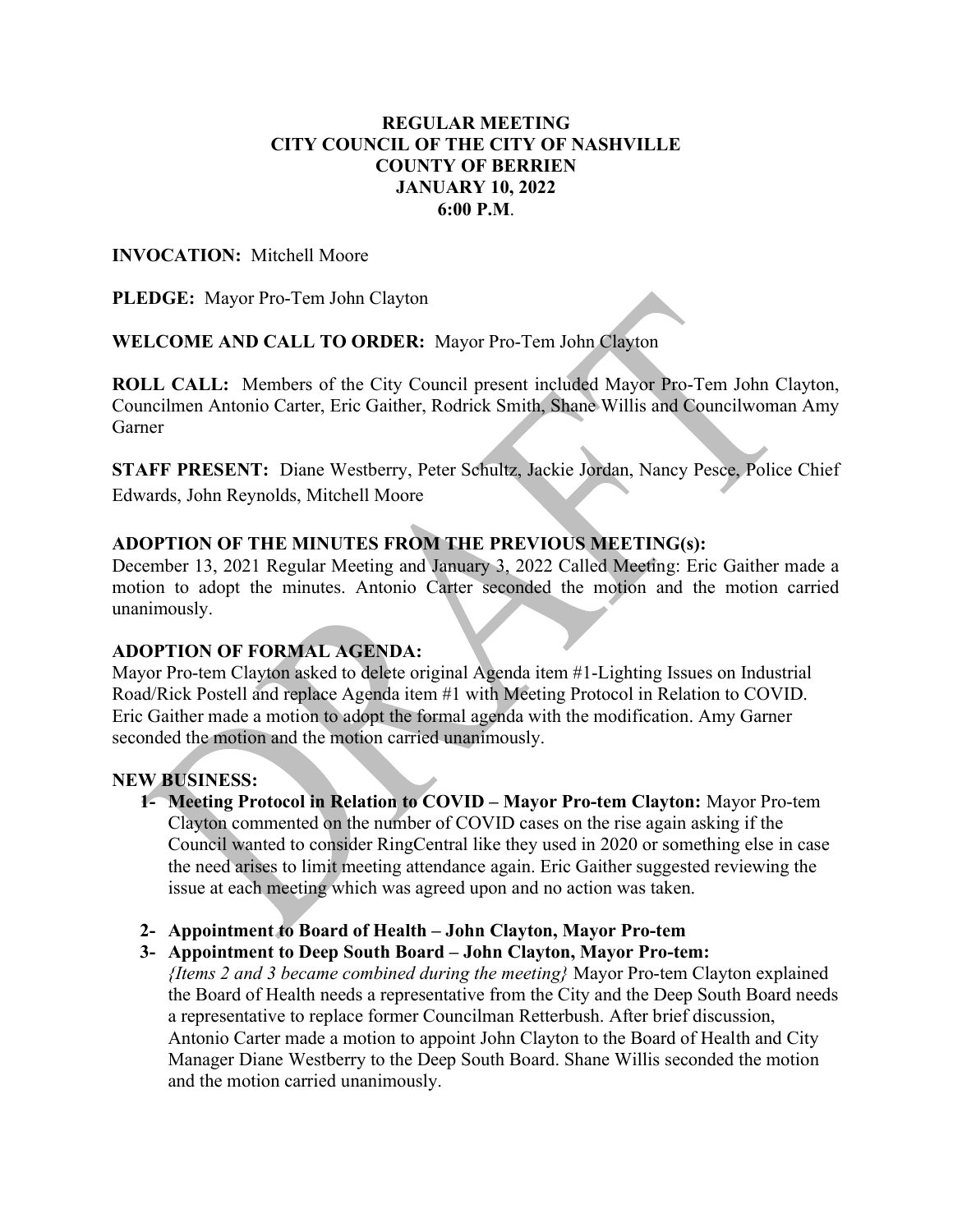## REGULAR MEETING CITY COUNCIL OF THE CITY OF NASHVILLE COUNTY OF BERRIEN JANUARY 10, 2022 6:00 P.M.

### INVOCATION: Mitchell Moore

PLEDGE: Mayor Pro-Tem John Clayton

WELCOME AND CALL TO ORDER: Mayor Pro-Tem John Clayton

ROLL CALL: Members of the City Council present included Mayor Pro-Tem John Clayton, Councilmen Antonio Carter, Eric Gaither, Rodrick Smith, Shane Willis and Councilwoman Amy Garner

STAFF PRESENT: Diane Westberry, Peter Schultz, Jackie Jordan, Nancy Pesce, Police Chief Edwards, John Reynolds, Mitchell Moore

# ADOPTION OF THE MINUTES FROM THE PREVIOUS MEETING(s):

December 13, 2021 Regular Meeting and January 3, 2022 Called Meeting: Eric Gaither made a motion to adopt the minutes. Antonio Carter seconded the motion and the motion carried unanimously.

## ADOPTION OF FORMAL AGENDA:

Mayor Pro-tem Clayton asked to delete original Agenda item #1-Lighting Issues on Industrial Road/Rick Postell and replace Agenda item #1 with Meeting Protocol in Relation to COVID. Eric Gaither made a motion to adopt the formal agenda with the modification. Amy Garner seconded the motion and the motion carried unanimously.

#### NEW BUSINESS:

- 1- Meeting Protocol in Relation to COVID Mayor Pro-tem Clayton: Mayor Pro-tem Clayton commented on the number of COVID cases on the rise again asking if the Council wanted to consider RingCentral like they used in 2020 or something else in case the need arises to limit meeting attendance again. Eric Gaither suggested reviewing the issue at each meeting which was agreed upon and no action was taken.
- 2- Appointment to Board of Health John Clayton, Mayor Pro-tem
- 3- Appointment to Deep South Board John Clayton, Mayor Pro-tem:

{Items 2 and 3 became combined during the meeting} Mayor Pro-tem Clayton explained the Board of Health needs a representative from the City and the Deep South Board needs a representative to replace former Councilman Retterbush. After brief discussion, Antonio Carter made a motion to appoint John Clayton to the Board of Health and City Manager Diane Westberry to the Deep South Board. Shane Willis seconded the motion and the motion carried unanimously.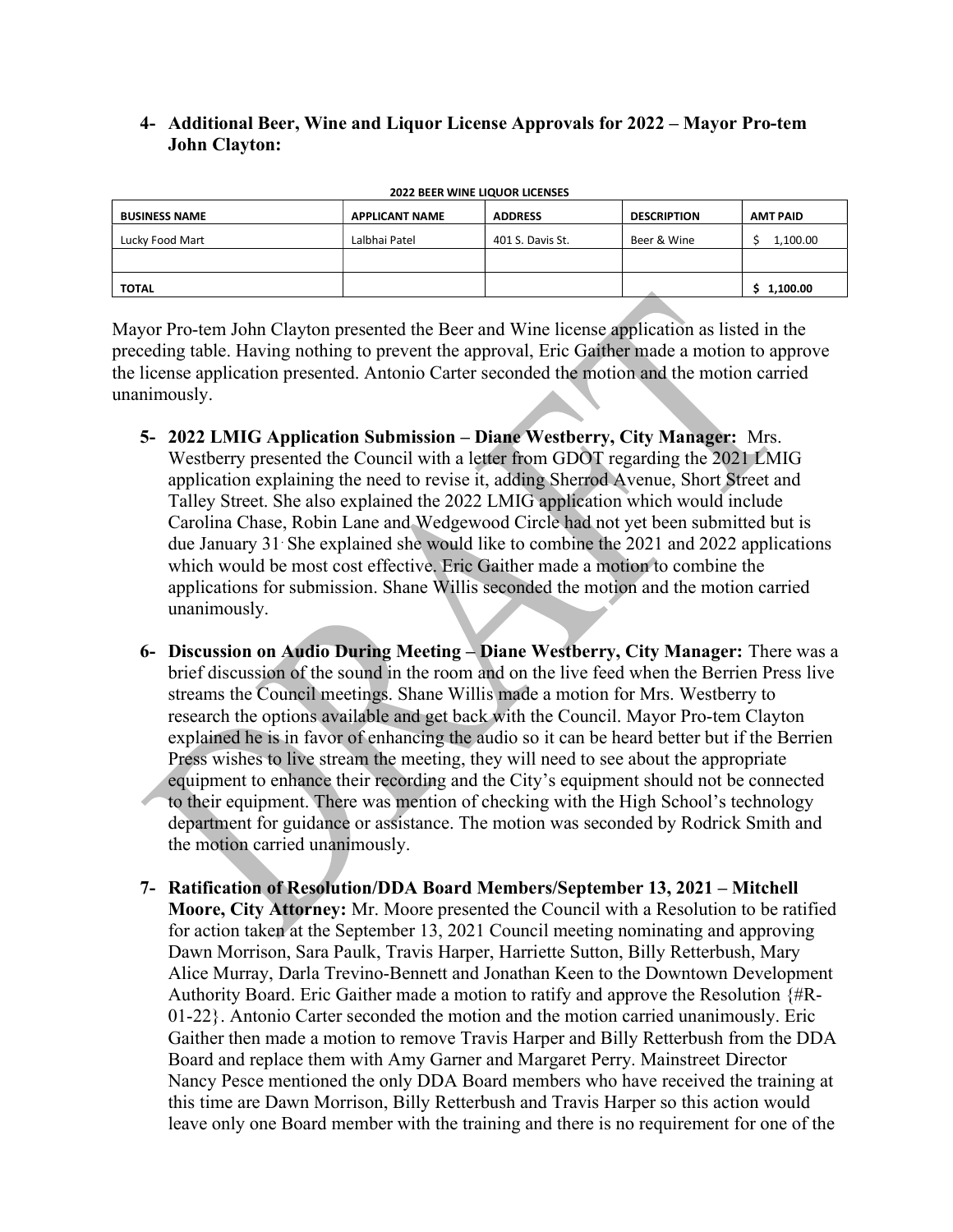## 4- Additional Beer, Wine and Liquor License Approvals for 2022 – Mayor Pro-tem John Clayton:

| <b>BUSINESS NAME</b> | <b>APPLICANT NAME</b> | <b>ADDRESS</b>   | <b>DESCRIPTION</b> | <b>AMT PAID</b> |
|----------------------|-----------------------|------------------|--------------------|-----------------|
| Lucky Food Mart      | Lalbhai Patel         | 401 S. Davis St. | Beer & Wine        | 1,100.00        |
|                      |                       |                  |                    |                 |
| <b>TOTAL</b>         |                       |                  |                    | 1,100.00        |

2022 BEER WINE LIQUOR LICENSES

Mayor Pro-tem John Clayton presented the Beer and Wine license application as listed in the preceding table. Having nothing to prevent the approval, Eric Gaither made a motion to approve the license application presented. Antonio Carter seconded the motion and the motion carried unanimously.

- 5- 2022 LMIG Application Submission Diane Westberry, City Manager: Mrs. Westberry presented the Council with a letter from GDOT regarding the 2021 LMIG application explaining the need to revise it, adding Sherrod Avenue, Short Street and Talley Street. She also explained the 2022 LMIG application which would include Carolina Chase, Robin Lane and Wedgewood Circle had not yet been submitted but is due January 31. She explained she would like to combine the 2021 and 2022 applications which would be most cost effective. Eric Gaither made a motion to combine the applications for submission. Shane Willis seconded the motion and the motion carried unanimously.
- 6- Discussion on Audio During Meeting Diane Westberry, City Manager: There was a brief discussion of the sound in the room and on the live feed when the Berrien Press live streams the Council meetings. Shane Willis made a motion for Mrs. Westberry to research the options available and get back with the Council. Mayor Pro-tem Clayton explained he is in favor of enhancing the audio so it can be heard better but if the Berrien Press wishes to live stream the meeting, they will need to see about the appropriate equipment to enhance their recording and the City's equipment should not be connected to their equipment. There was mention of checking with the High School's technology department for guidance or assistance. The motion was seconded by Rodrick Smith and the motion carried unanimously.
- 7- Ratification of Resolution/DDA Board Members/September 13, 2021 Mitchell Moore, City Attorney: Mr. Moore presented the Council with a Resolution to be ratified for action taken at the September 13, 2021 Council meeting nominating and approving Dawn Morrison, Sara Paulk, Travis Harper, Harriette Sutton, Billy Retterbush, Mary Alice Murray, Darla Trevino-Bennett and Jonathan Keen to the Downtown Development Authority Board. Eric Gaither made a motion to ratify and approve the Resolution {#R-01-22}. Antonio Carter seconded the motion and the motion carried unanimously. Eric Gaither then made a motion to remove Travis Harper and Billy Retterbush from the DDA Board and replace them with Amy Garner and Margaret Perry. Mainstreet Director Nancy Pesce mentioned the only DDA Board members who have received the training at this time are Dawn Morrison, Billy Retterbush and Travis Harper so this action would leave only one Board member with the training and there is no requirement for one of the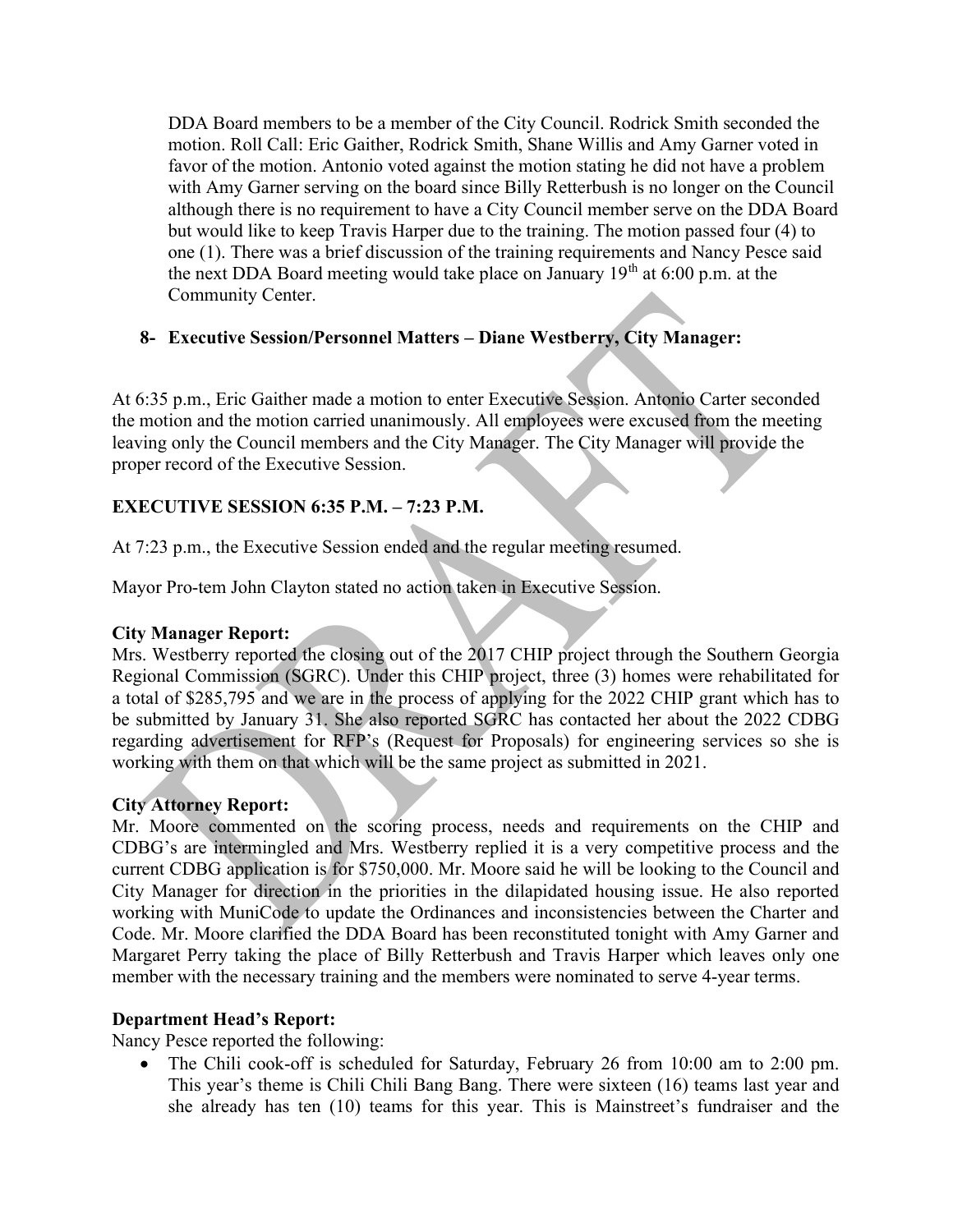DDA Board members to be a member of the City Council. Rodrick Smith seconded the motion. Roll Call: Eric Gaither, Rodrick Smith, Shane Willis and Amy Garner voted in favor of the motion. Antonio voted against the motion stating he did not have a problem with Amy Garner serving on the board since Billy Retterbush is no longer on the Council although there is no requirement to have a City Council member serve on the DDA Board but would like to keep Travis Harper due to the training. The motion passed four (4) to one (1). There was a brief discussion of the training requirements and Nancy Pesce said the next DDA Board meeting would take place on January  $19<sup>th</sup>$  at 6:00 p.m. at the Community Center.

# 8- Executive Session/Personnel Matters – Diane Westberry, City Manager:

At 6:35 p.m., Eric Gaither made a motion to enter Executive Session. Antonio Carter seconded the motion and the motion carried unanimously. All employees were excused from the meeting leaving only the Council members and the City Manager. The City Manager will provide the proper record of the Executive Session.

# EXECUTIVE SESSION 6:35 P.M. – 7:23 P.M.

At 7:23 p.m., the Executive Session ended and the regular meeting resumed.

Mayor Pro-tem John Clayton stated no action taken in Executive Session.

## City Manager Report:

Mrs. Westberry reported the closing out of the 2017 CHIP project through the Southern Georgia Regional Commission (SGRC). Under this CHIP project, three (3) homes were rehabilitated for a total of \$285,795 and we are in the process of applying for the 2022 CHIP grant which has to be submitted by January 31. She also reported SGRC has contacted her about the 2022 CDBG regarding advertisement for RFP's (Request for Proposals) for engineering services so she is working with them on that which will be the same project as submitted in 2021.

## City Attorney Report:

Mr. Moore commented on the scoring process, needs and requirements on the CHIP and CDBG's are intermingled and Mrs. Westberry replied it is a very competitive process and the current CDBG application is for \$750,000. Mr. Moore said he will be looking to the Council and City Manager for direction in the priorities in the dilapidated housing issue. He also reported working with MuniCode to update the Ordinances and inconsistencies between the Charter and Code. Mr. Moore clarified the DDA Board has been reconstituted tonight with Amy Garner and Margaret Perry taking the place of Billy Retterbush and Travis Harper which leaves only one member with the necessary training and the members were nominated to serve 4-year terms.

## Department Head's Report:

Nancy Pesce reported the following:

 The Chili cook-off is scheduled for Saturday, February 26 from 10:00 am to 2:00 pm. This year's theme is Chili Chili Bang Bang. There were sixteen (16) teams last year and she already has ten (10) teams for this year. This is Mainstreet's fundraiser and the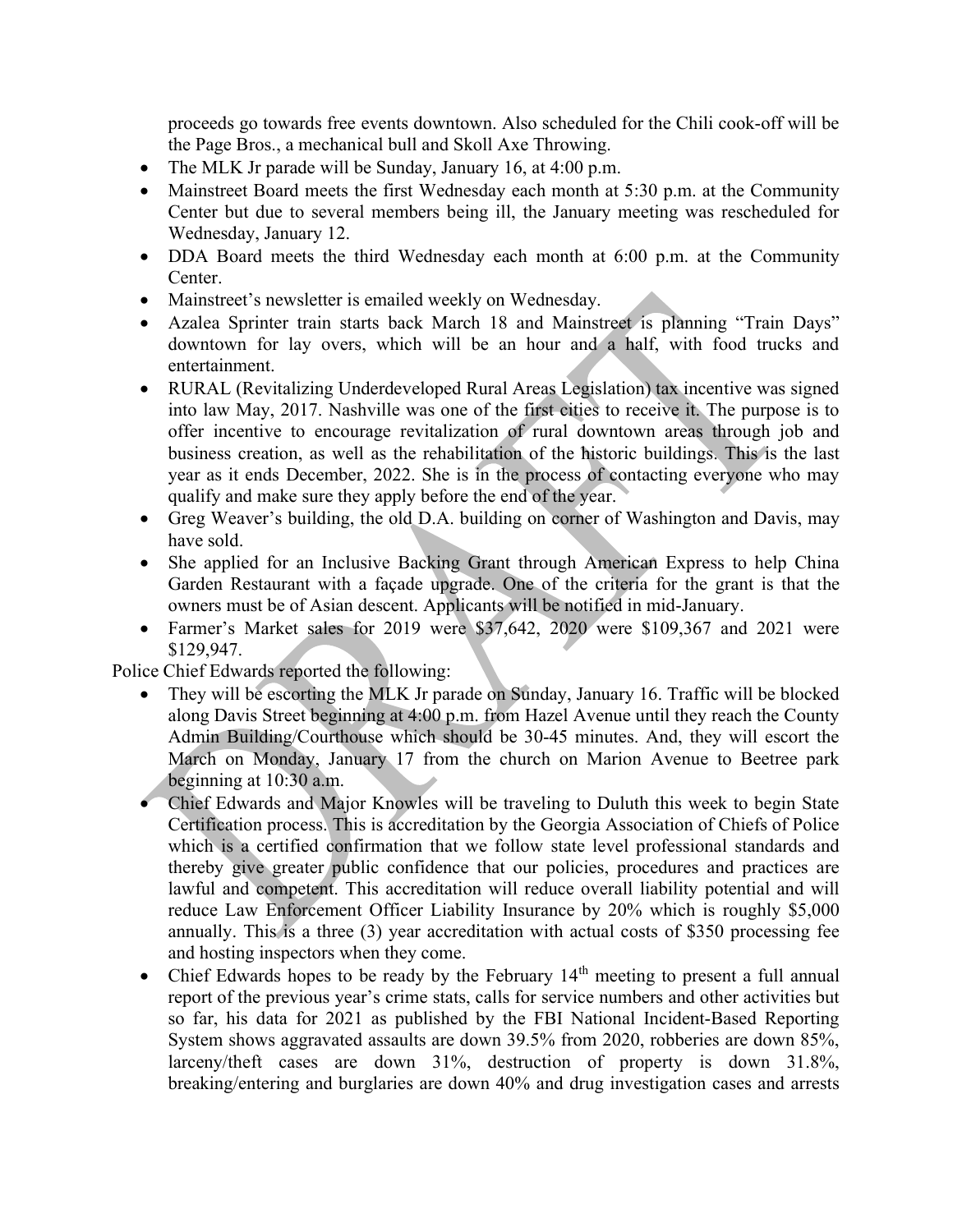proceeds go towards free events downtown. Also scheduled for the Chili cook-off will be the Page Bros., a mechanical bull and Skoll Axe Throwing.

- The MLK Jr parade will be Sunday, January 16, at 4:00 p.m.
- Mainstreet Board meets the first Wednesday each month at 5:30 p.m. at the Community Center but due to several members being ill, the January meeting was rescheduled for Wednesday, January 12.
- DDA Board meets the third Wednesday each month at 6:00 p.m. at the Community Center.
- Mainstreet's newsletter is emailed weekly on Wednesday.
- Azalea Sprinter train starts back March 18 and Mainstreet is planning "Train Days" downtown for lay overs, which will be an hour and a half, with food trucks and entertainment.
- RURAL (Revitalizing Underdeveloped Rural Areas Legislation) tax incentive was signed into law May, 2017. Nashville was one of the first cities to receive it. The purpose is to offer incentive to encourage revitalization of rural downtown areas through job and business creation, as well as the rehabilitation of the historic buildings. This is the last year as it ends December, 2022. She is in the process of contacting everyone who may qualify and make sure they apply before the end of the year.
- Greg Weaver's building, the old D.A. building on corner of Washington and Davis, may have sold.
- She applied for an Inclusive Backing Grant through American Express to help China Garden Restaurant with a façade upgrade. One of the criteria for the grant is that the owners must be of Asian descent. Applicants will be notified in mid-January.
- Farmer's Market sales for 2019 were \$37,642, 2020 were \$109,367 and 2021 were \$129,947.

Police Chief Edwards reported the following:

- They will be escorting the MLK Jr parade on Sunday, January 16. Traffic will be blocked along Davis Street beginning at 4:00 p.m. from Hazel Avenue until they reach the County Admin Building/Courthouse which should be 30-45 minutes. And, they will escort the March on Monday, January 17 from the church on Marion Avenue to Beetree park beginning at 10:30 a.m.
- Chief Edwards and Major Knowles will be traveling to Duluth this week to begin State Certification process. This is accreditation by the Georgia Association of Chiefs of Police which is a certified confirmation that we follow state level professional standards and thereby give greater public confidence that our policies, procedures and practices are lawful and competent. This accreditation will reduce overall liability potential and will reduce Law Enforcement Officer Liability Insurance by 20% which is roughly \$5,000 annually. This is a three (3) year accreditation with actual costs of \$350 processing fee and hosting inspectors when they come.
- Chief Edwards hopes to be ready by the February  $14<sup>th</sup>$  meeting to present a full annual report of the previous year's crime stats, calls for service numbers and other activities but so far, his data for 2021 as published by the FBI National Incident-Based Reporting System shows aggravated assaults are down 39.5% from 2020, robberies are down 85%, larceny/theft cases are down 31%, destruction of property is down 31.8%, breaking/entering and burglaries are down 40% and drug investigation cases and arrests